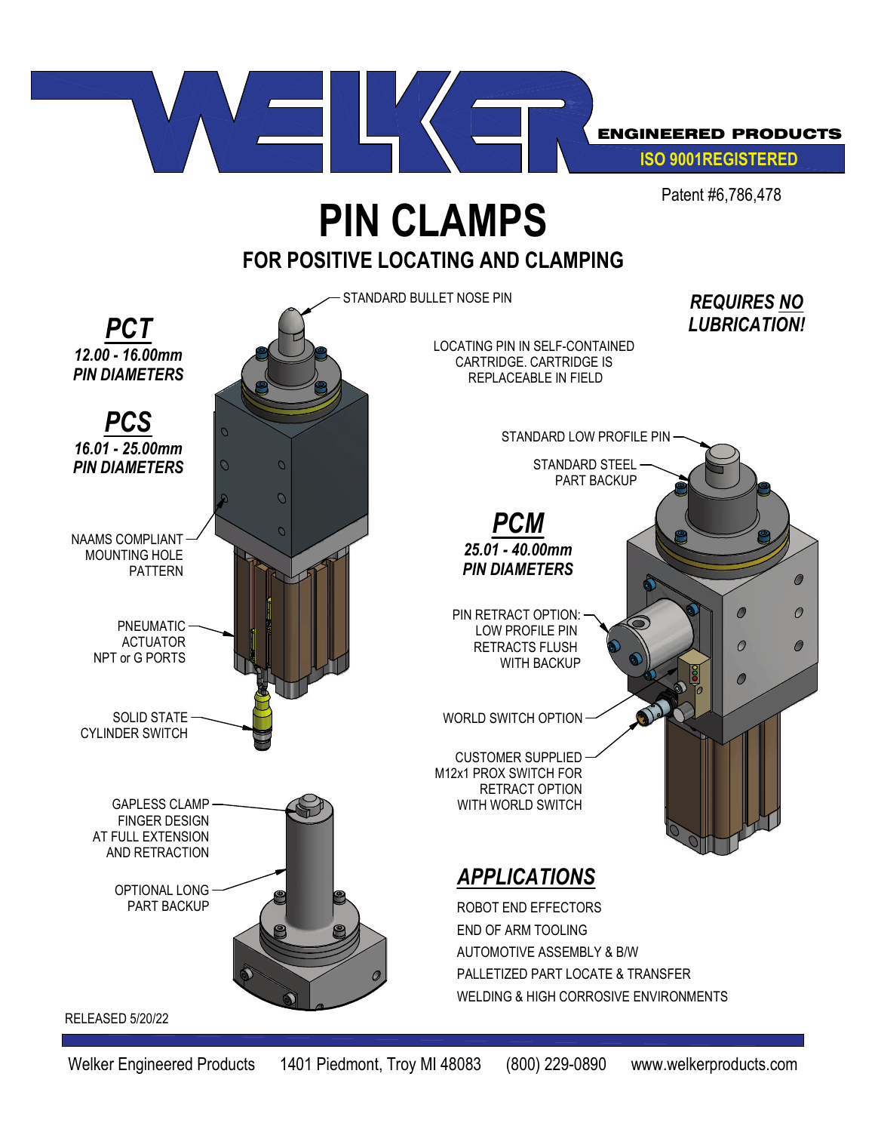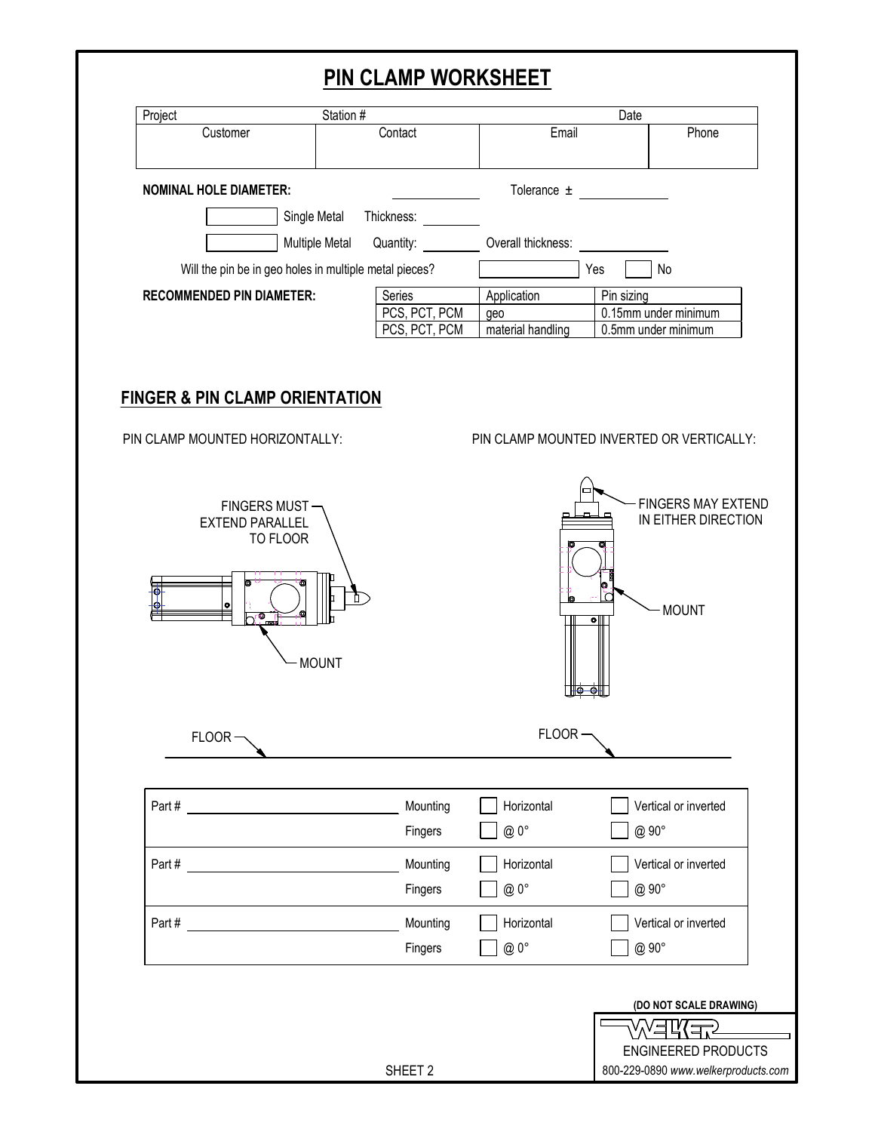## **PIN CLAMP WORKSHEET**

| Station #<br>Project                                                                                                                                                                                                                                                                                                                                                     |                       |               |                                           | Date       |                                                                  |
|--------------------------------------------------------------------------------------------------------------------------------------------------------------------------------------------------------------------------------------------------------------------------------------------------------------------------------------------------------------------------|-----------------------|---------------|-------------------------------------------|------------|------------------------------------------------------------------|
| Customer                                                                                                                                                                                                                                                                                                                                                                 |                       | Contact       | Email                                     |            | Phone                                                            |
| <b>NOMINAL HOLE DIAMETER:</b>                                                                                                                                                                                                                                                                                                                                            |                       |               | Tolerance $\pm$                           |            |                                                                  |
|                                                                                                                                                                                                                                                                                                                                                                          | Single Metal          | Thickness:    |                                           |            |                                                                  |
|                                                                                                                                                                                                                                                                                                                                                                          | <b>Multiple Metal</b> | Quantity:     | Overall thickness:                        |            |                                                                  |
| Will the pin be in geo holes in multiple metal pieces?                                                                                                                                                                                                                                                                                                                   |                       |               |                                           | Yes        | <b>No</b>                                                        |
| <b>RECOMMENDED PIN DIAMETER:</b>                                                                                                                                                                                                                                                                                                                                         |                       | Series        | Application                               | Pin sizing |                                                                  |
|                                                                                                                                                                                                                                                                                                                                                                          |                       | PCS, PCT, PCM | geo                                       |            | 0.15mm under minimum                                             |
|                                                                                                                                                                                                                                                                                                                                                                          |                       | PCS, PCT, PCM | material handling                         |            | 0.5mm under minimum                                              |
| <b>FINGER &amp; PIN CLAMP ORIENTATION</b><br>PIN CLAMP MOUNTED HORIZONTALLY:                                                                                                                                                                                                                                                                                             |                       |               | PIN CLAMP MOUNTED INVERTED OR VERTICALLY: |            |                                                                  |
| FINGERS MUST-<br><b>EXTEND PARALLEL</b><br>TO FLOOR<br>Ō<br>ъ                                                                                                                                                                                                                                                                                                            | П<br><b>MOUNT</b>     |               |                                           | $\bullet$  | <b>FINGERS MAY EXTEND</b><br>IN EITHER DIRECTION<br><b>MOUNT</b> |
| $FLOOR -$                                                                                                                                                                                                                                                                                                                                                                |                       |               | FLOOR-                                    |            |                                                                  |
| Part # $\qquad \qquad \qquad$ $\qquad \qquad$ $\qquad \qquad$ $\qquad \qquad$ $\qquad \qquad$ $\qquad \qquad$ $\qquad \qquad$ $\qquad \qquad$ $\qquad \qquad$ $\qquad \qquad$ $\qquad$ $\qquad \qquad$ $\qquad$ $\qquad$ $\qquad$ $\qquad$ $\qquad$ $\qquad$ $\qquad$ $\qquad$ $\qquad$ $\qquad$ $\qquad$ $\qquad$ $\qquad$ $\qquad$ $\qquad$ $\qquad$ $\qquad$ $\qquad$ |                       | Mounting      | Horizontal                                |            | Vertical or inverted                                             |
|                                                                                                                                                                                                                                                                                                                                                                          |                       | Fingers       | @ 0°                                      | @ 90°      |                                                                  |
|                                                                                                                                                                                                                                                                                                                                                                          |                       | Mounting      | Horizontal                                |            | Vertical or inverted                                             |
|                                                                                                                                                                                                                                                                                                                                                                          |                       |               |                                           |            |                                                                  |
| Part#                                                                                                                                                                                                                                                                                                                                                                    |                       |               |                                           |            |                                                                  |
|                                                                                                                                                                                                                                                                                                                                                                          |                       | Fingers       | @ 0°                                      | @ 90°      |                                                                  |
| Part # 2008 Part # 2008 Part # 2008 Part # 2008 Part # 2008 Part # 2008 Part # 2008 Part # 2008 Part # 2008 Par                                                                                                                                                                                                                                                          |                       | Mounting      | Horizontal                                |            | Vertical or inverted                                             |
|                                                                                                                                                                                                                                                                                                                                                                          |                       | Fingers       | @0°                                       | @ 90°      |                                                                  |
|                                                                                                                                                                                                                                                                                                                                                                          |                       |               |                                           |            |                                                                  |
|                                                                                                                                                                                                                                                                                                                                                                          |                       |               |                                           |            | (DO NOT SCALE DRAWING)                                           |
|                                                                                                                                                                                                                                                                                                                                                                          |                       |               |                                           |            | VERKER<br><b>ENGINEERED PRODUCTS</b>                             |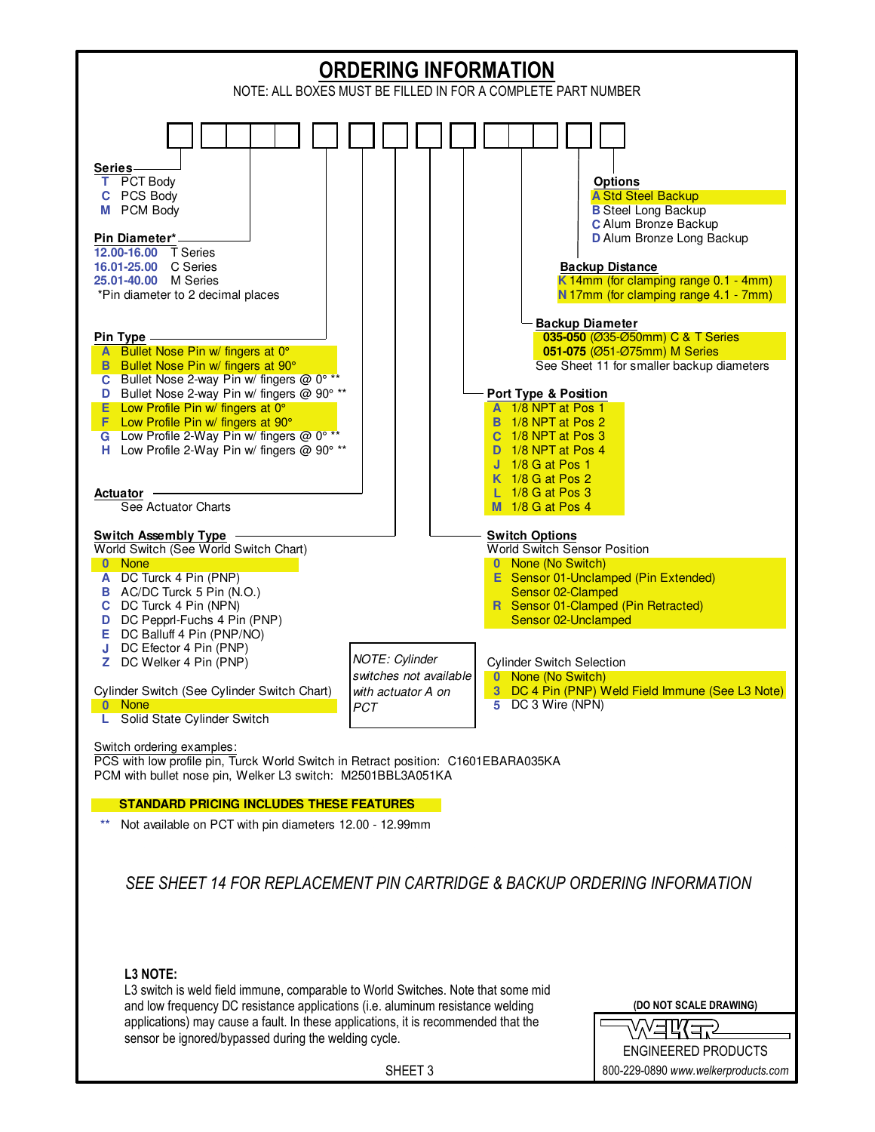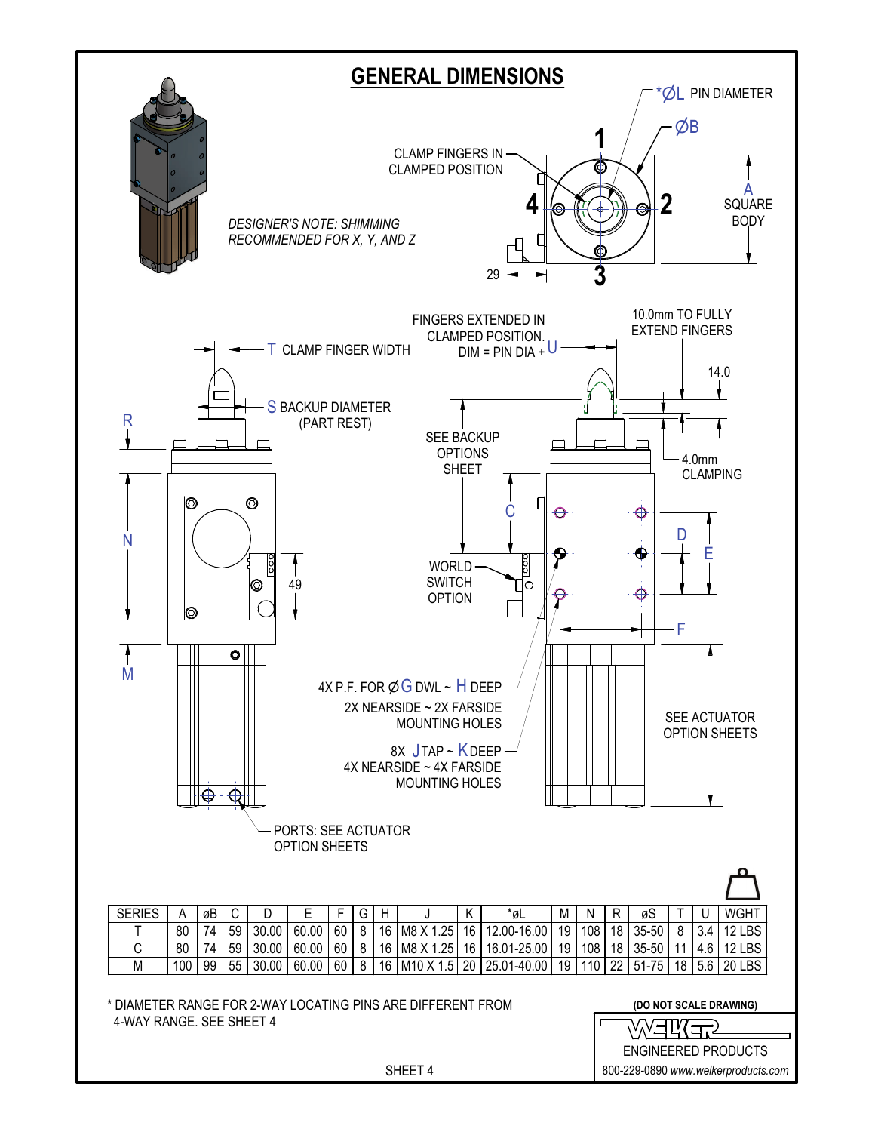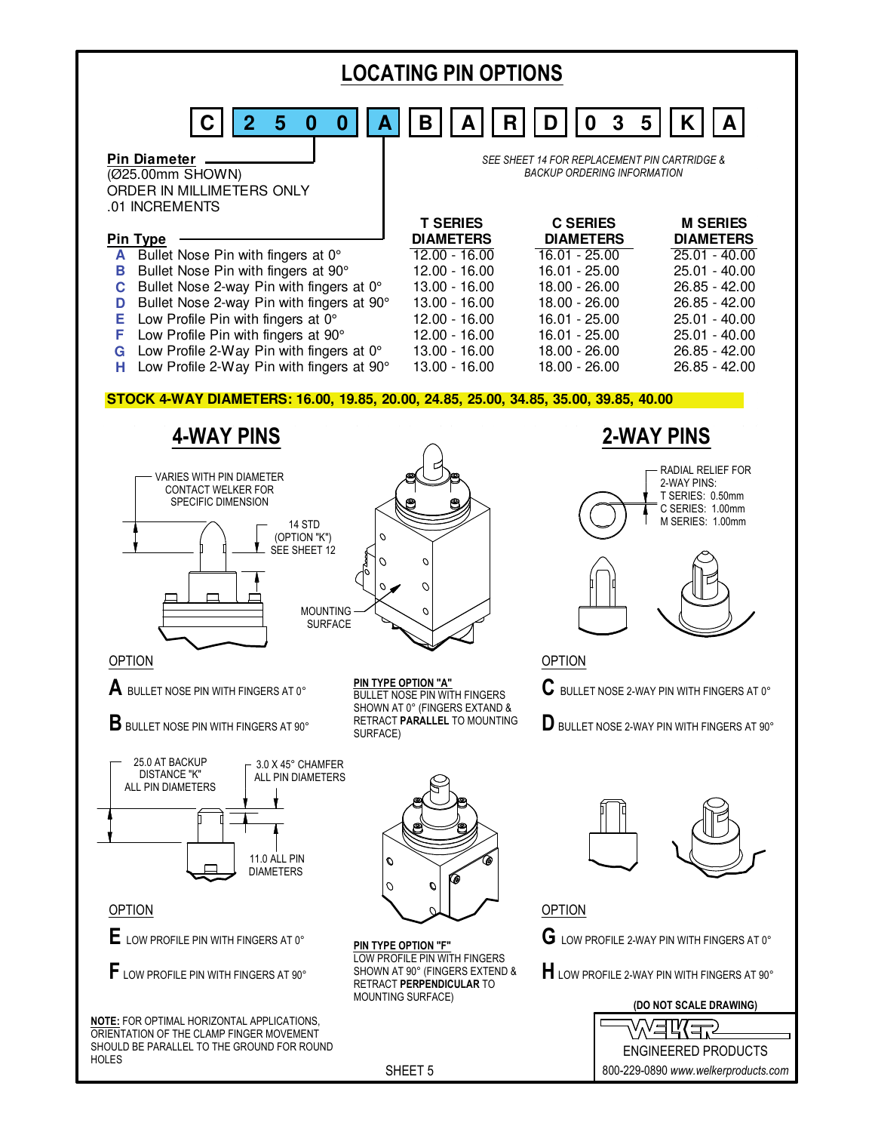

800-229-0890 *www.welkerproducts.com*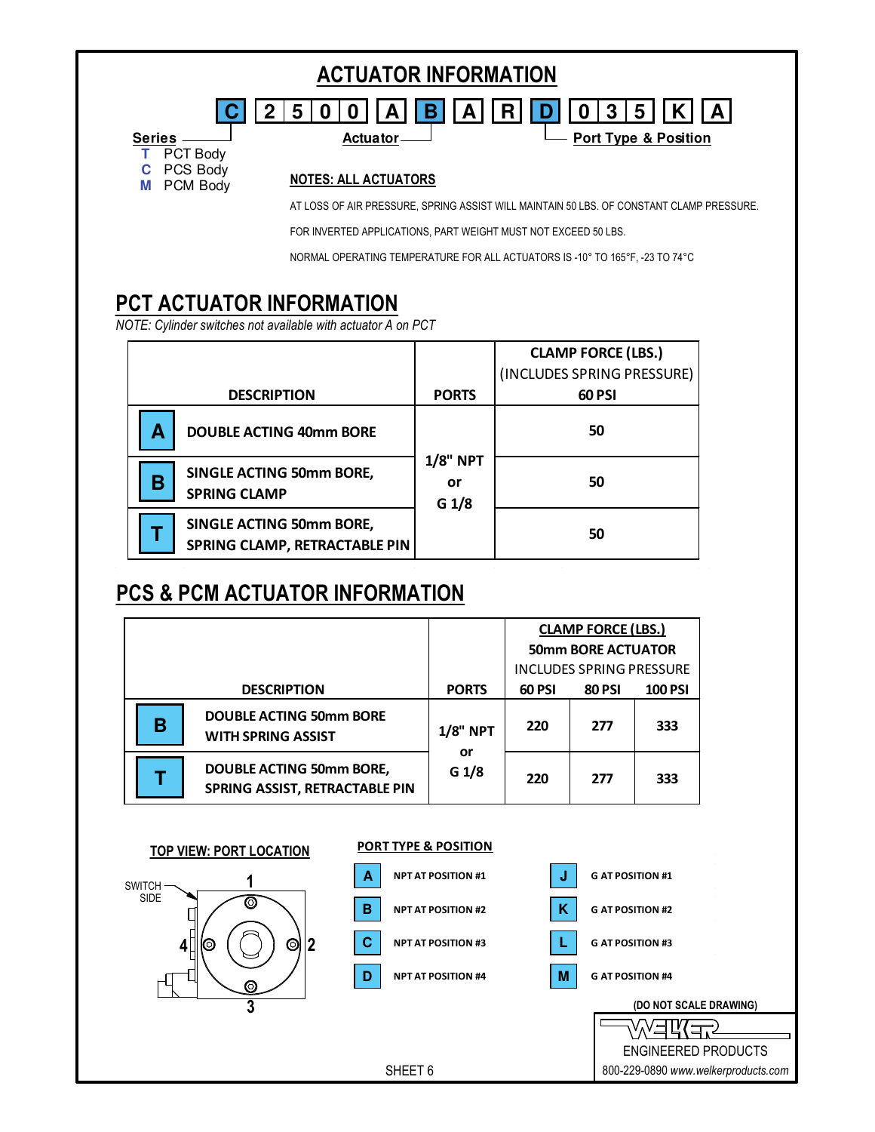| <b>Series</b>                         | 5<br>3<br>5<br>R.<br>Β<br>0<br>A<br><b>Port Type &amp; Position</b><br>Actuator-         |  |  |  |  |
|---------------------------------------|------------------------------------------------------------------------------------------|--|--|--|--|
| PCT Body<br>PCS Body<br>PCM Body<br>M | <b>NOTES: ALL ACTUATORS</b>                                                              |  |  |  |  |
|                                       | AT LOSS OF AIR PRESSURE, SPRING ASSIST WILL MAINTAIN 50 LBS. OF CONSTANT CLAMP PRESSURE. |  |  |  |  |
|                                       | FOR INVERTED APPLICATIONS, PART WEIGHT MUST NOT EXCEED 50 LBS.                           |  |  |  |  |
|                                       | NORMAL OPERATING TEMPERATURE FOR ALL ACTUATORS IS -10° TO 165°F, -23 TO 74°C             |  |  |  |  |

|                                                                         |                                           | <b>CLAMP FORCE (LBS.)</b><br>(INCLUDES SPRING PRESSURE) |
|-------------------------------------------------------------------------|-------------------------------------------|---------------------------------------------------------|
| <b>DESCRIPTION</b>                                                      | <b>PORTS</b>                              | 60 PSI                                                  |
| А<br><b>DOUBLE ACTING 40mm BORE</b>                                     |                                           | 50                                                      |
| <b>SINGLE ACTING 50mm BORE,</b><br>В<br><b>SPRING CLAMP</b>             | <b>1/8" NPT</b><br>or<br>G <sub>1/8</sub> | 50                                                      |
| <b>SINGLE ACTING 50mm BORE,</b><br><b>SPRING CLAMP, RETRACTABLE PIN</b> |                                           | 50                                                      |

## **PCS & PCM ACTUATOR INFORMATION**

|                    |                                                                   |                                           | <b>CLAMP FORCE (LBS.)</b>       |               |                |
|--------------------|-------------------------------------------------------------------|-------------------------------------------|---------------------------------|---------------|----------------|
|                    |                                                                   |                                           | <b>50mm BORE ACTUATOR</b>       |               |                |
|                    |                                                                   |                                           | <b>INCLUDES SPRING PRESSURE</b> |               |                |
| <b>DESCRIPTION</b> |                                                                   | <b>PORTS</b>                              | 60 PSI                          | <b>80 PSI</b> | <b>100 PSI</b> |
| В                  | <b>DOUBLE ACTING 50mm BORE</b><br><b>WITH SPRING ASSIST</b>       | <b>1/8" NPT</b><br>or<br>G <sub>1/8</sub> | 220                             | 277           | 333            |
|                    | DOUBLE ACTING 50mm BORE,<br><b>SPRING ASSIST, RETRACTABLE PIN</b> |                                           | 220                             | 277           | 333            |

**PORT TYPE & POSITION**

ENGINEERED PRODUCTS 800-229-0890 *www.welkerproducts.com*

┱

**(DO NOT SCALE DRAWING)**

**TOP VIEW: PORT LOCATION**

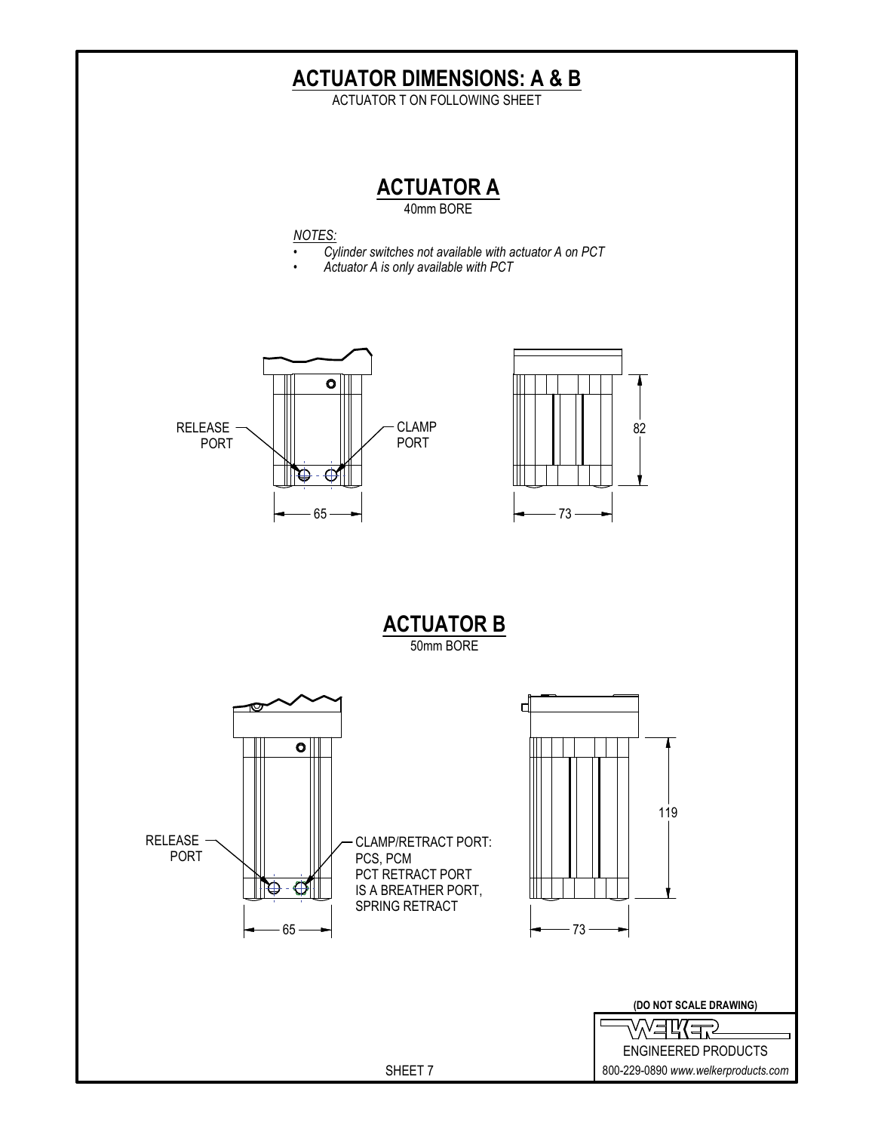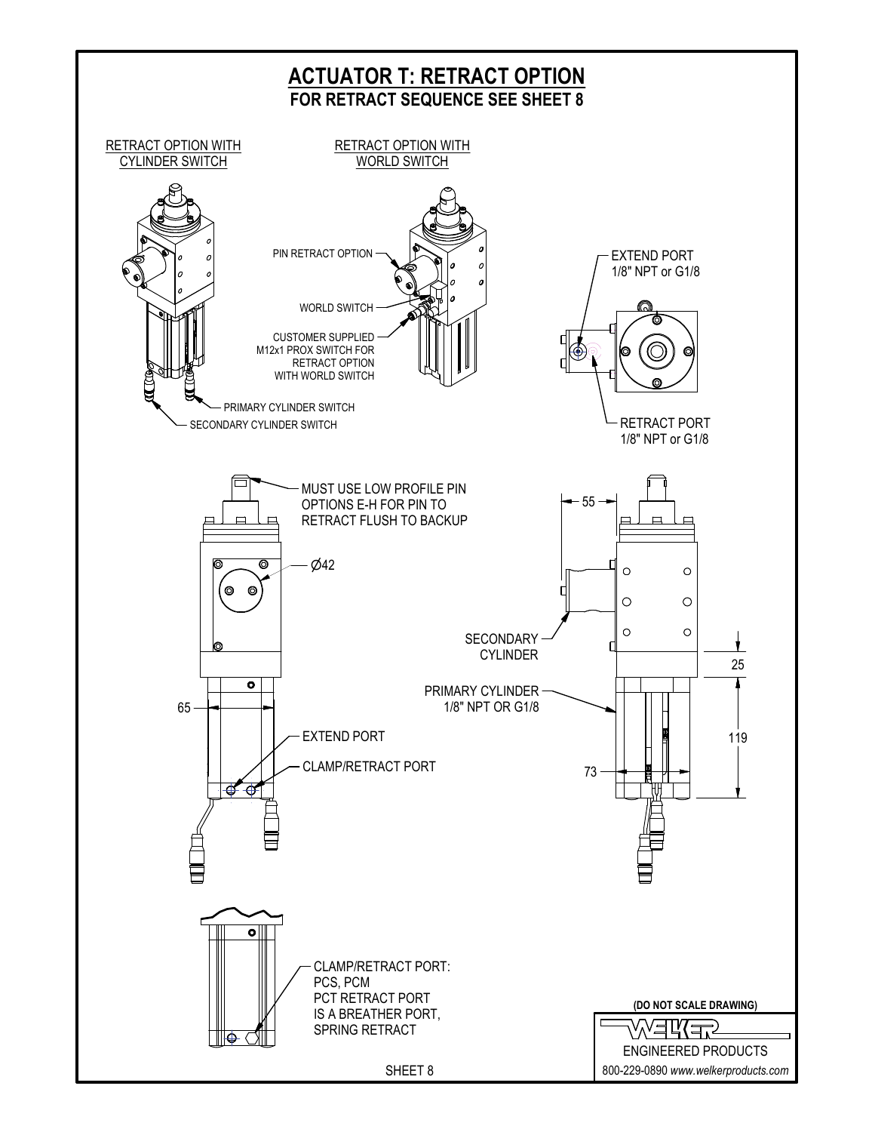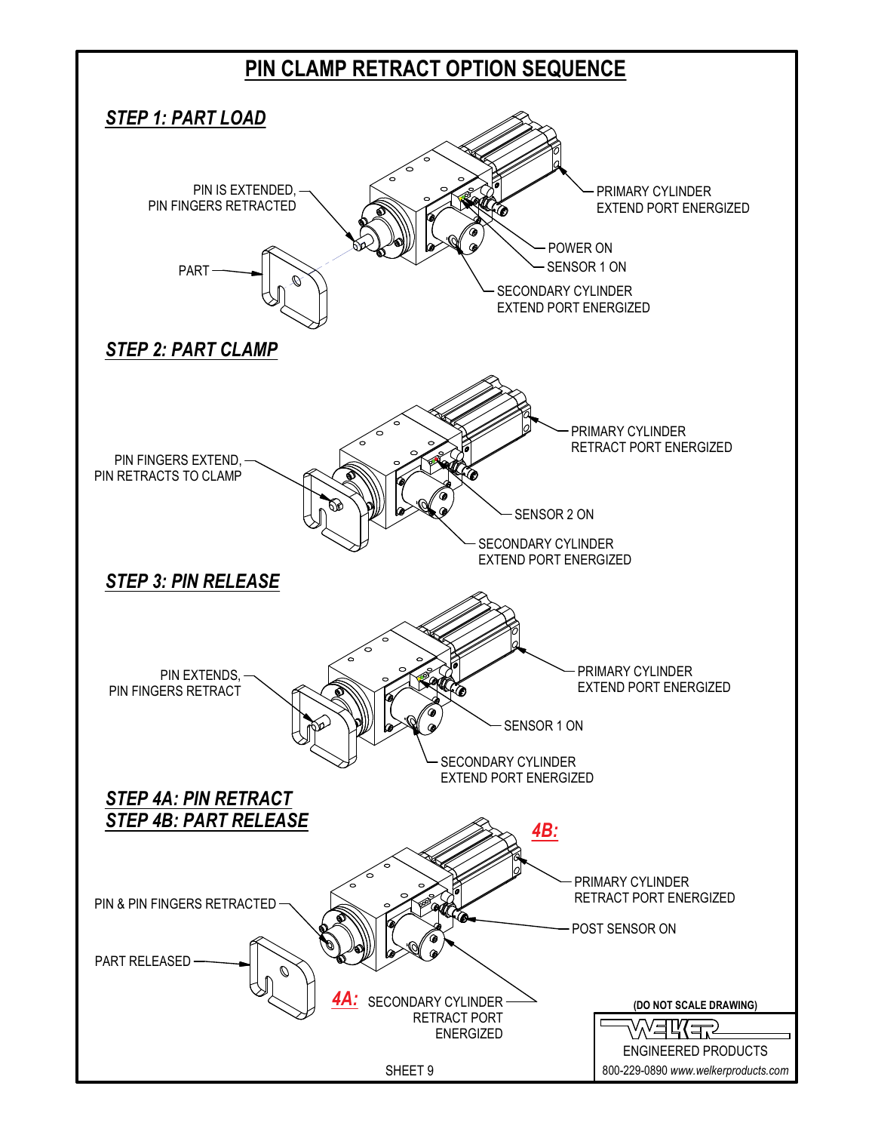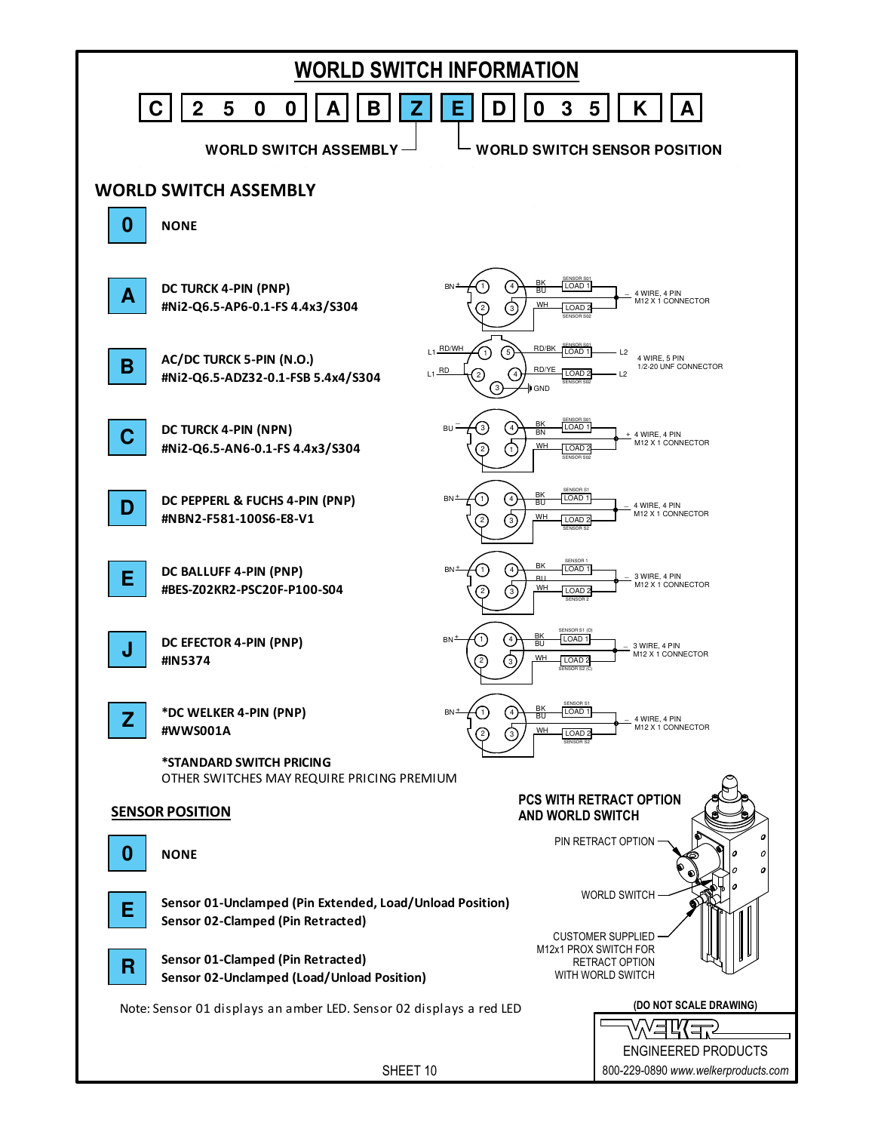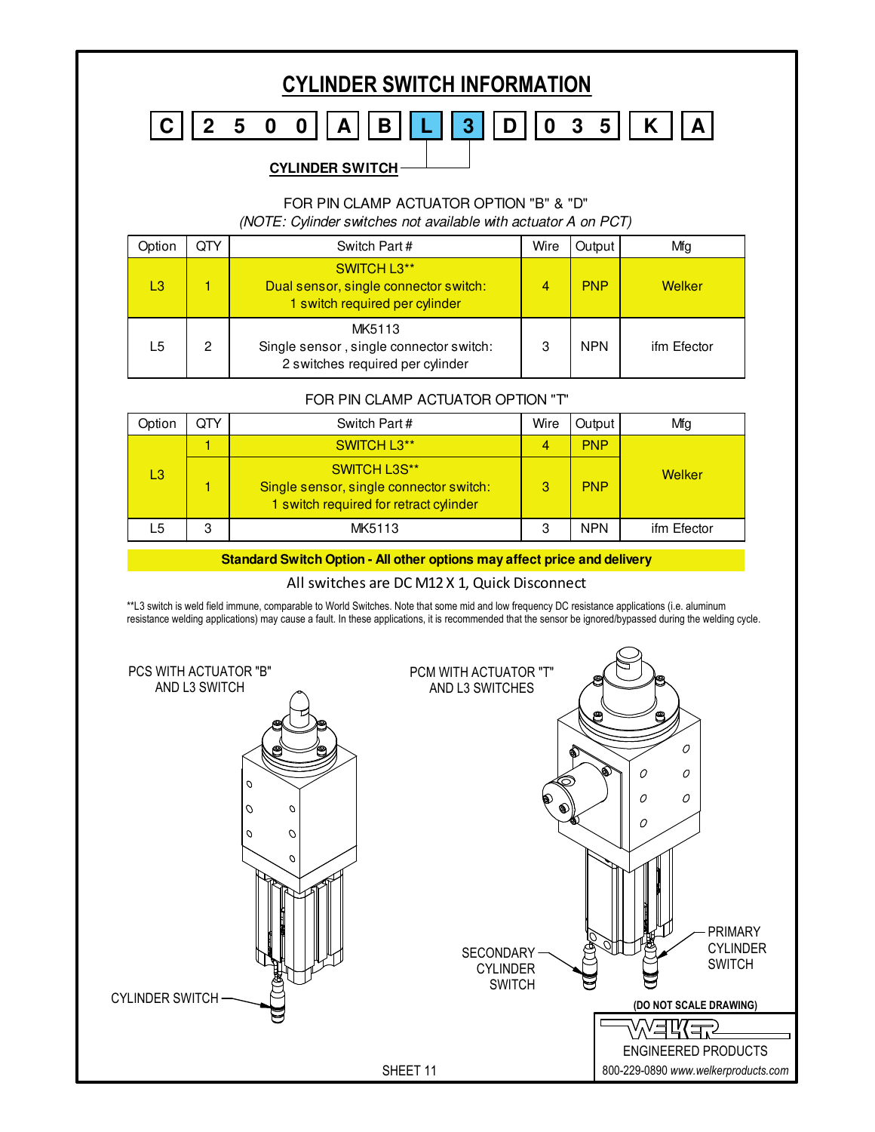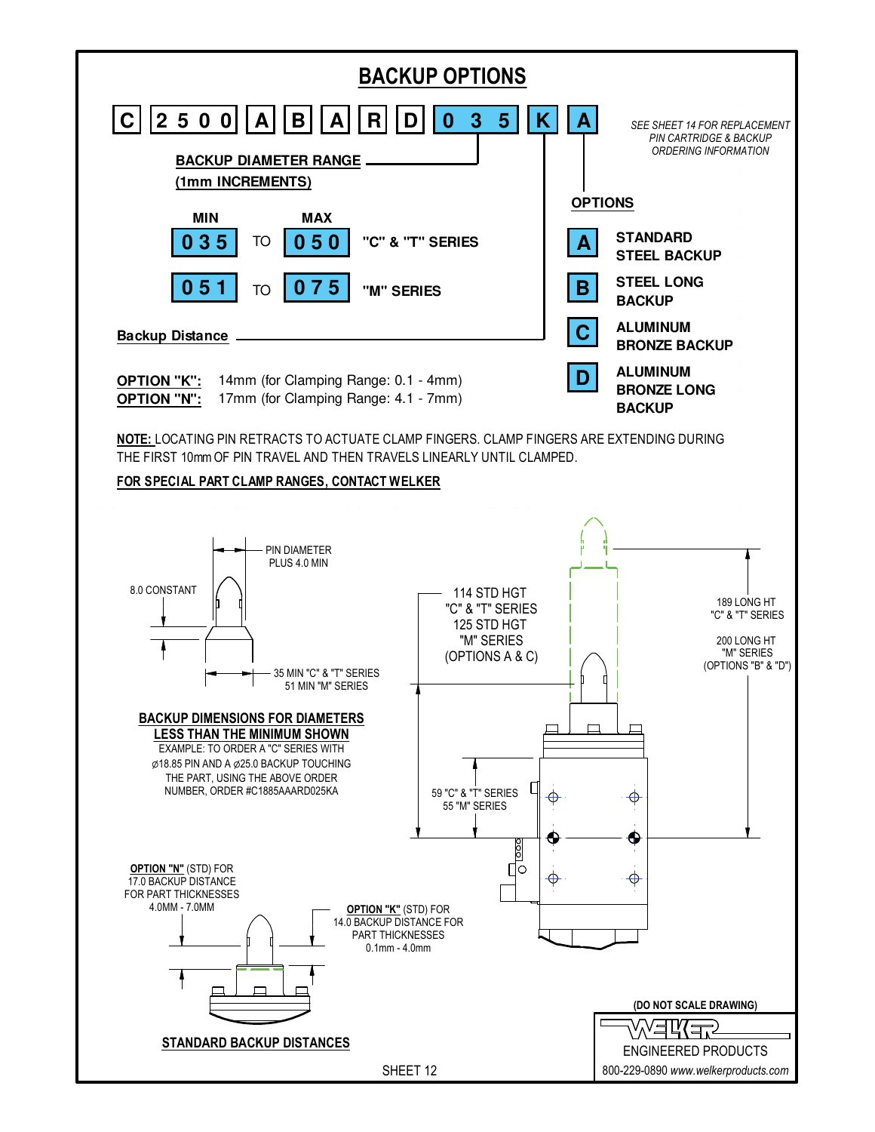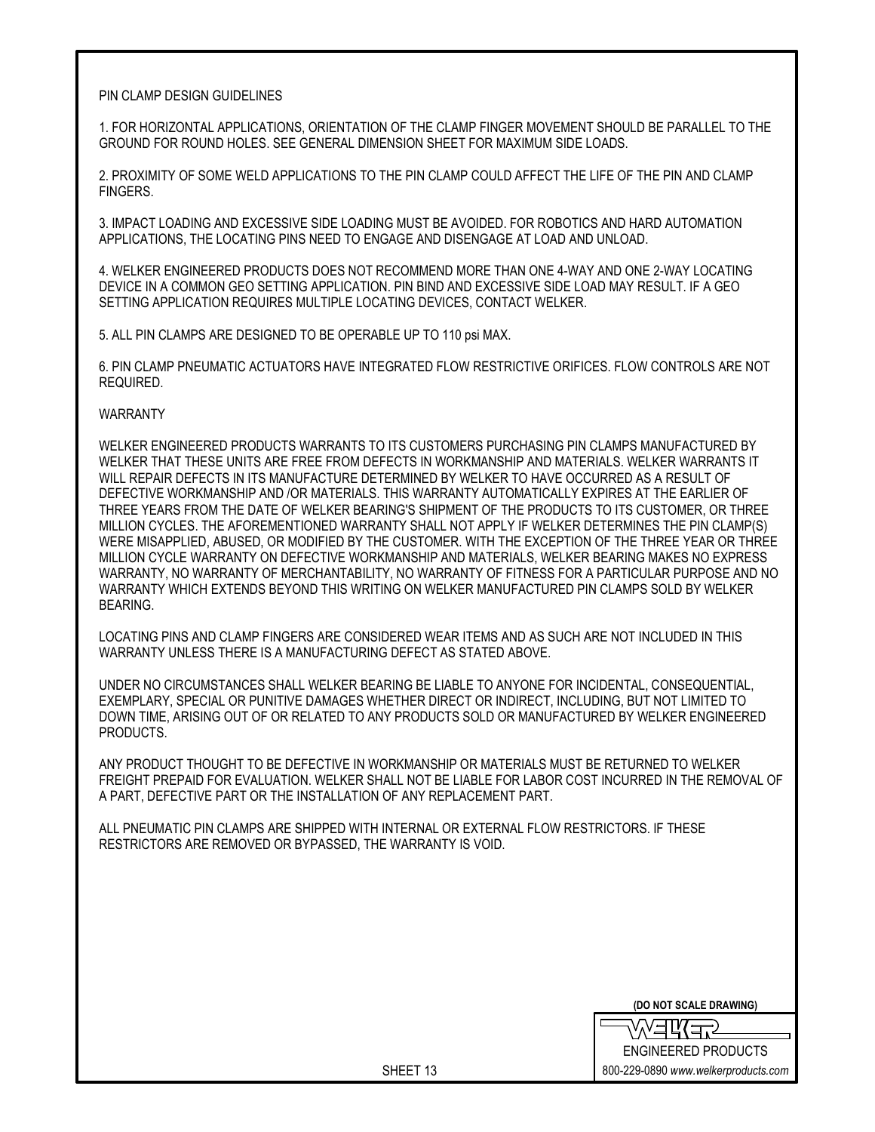## PIN CLAMP DESIGN GUIDELINES

1. FOR HORIZONTAL APPLICATIONS, ORIENTATION OF THE CLAMP FINGER MOVEMENT SHOULD BE PARALLEL TO THE GROUND FOR ROUND HOLES. SEE GENERAL DIMENSION SHEET FOR MAXIMUM SIDE LOADS.

2. PROXIMITY OF SOME WELD APPLICATIONS TO THE PIN CLAMP COULD AFFECT THE LIFE OF THE PIN AND CLAMP FINGERS.

3. IMPACT LOADING AND EXCESSIVE SIDE LOADING MUST BE AVOIDED. FOR ROBOTICS AND HARD AUTOMATION APPLICATIONS, THE LOCATING PINS NEED TO ENGAGE AND DISENGAGE AT LOAD AND UNLOAD.

4. WELKER ENGINEERED PRODUCTS DOES NOT RECOMMEND MORE THAN ONE 4-WAY AND ONE 2-WAY LOCATING DEVICE IN A COMMON GEO SETTING APPLICATION. PIN BIND AND EXCESSIVE SIDE LOAD MAY RESULT. IF A GEO SETTING APPLICATION REQUIRES MULTIPLE LOCATING DEVICES, CONTACT WELKER.

5. ALL PIN CLAMPS ARE DESIGNED TO BE OPERABLE UP TO 110 psi MAX.

6. PIN CLAMP PNEUMATIC ACTUATORS HAVE INTEGRATED FLOW RESTRICTIVE ORIFICES. FLOW CONTROLS ARE NOT REQUIRED.

## WARRANTY

WELKER ENGINEERED PRODUCTS WARRANTS TO ITS CUSTOMERS PURCHASING PIN CLAMPS MANUFACTURED BY WELKER THAT THESE UNITS ARE FREE FROM DEFECTS IN WORKMANSHIP AND MATERIALS. WELKER WARRANTS IT WILL REPAIR DEFECTS IN ITS MANUFACTURE DETERMINED BY WELKER TO HAVE OCCURRED AS A RESULT OF DEFECTIVE WORKMANSHIP AND /OR MATERIALS. THIS WARRANTY AUTOMATICALLY EXPIRES AT THE EARLIER OF THREE YEARS FROM THE DATE OF WELKER BEARING'S SHIPMENT OF THE PRODUCTS TO ITS CUSTOMER, OR THREE MILLION CYCLES. THE AFOREMENTIONED WARRANTY SHALL NOT APPLY IF WELKER DETERMINES THE PIN CLAMP(S) WERE MISAPPLIED, ABUSED, OR MODIFIED BY THE CUSTOMER. WITH THE EXCEPTION OF THE THREE YEAR OR THREE MILLION CYCLE WARRANTY ON DEFECTIVE WORKMANSHIP AND MATERIALS, WELKER BEARING MAKES NO EXPRESS WARRANTY, NO WARRANTY OF MERCHANTABILITY, NO WARRANTY OF FITNESS FOR A PARTICULAR PURPOSE AND NO WARRANTY WHICH EXTENDS BEYOND THIS WRITING ON WELKER MANUFACTURED PIN CLAMPS SOLD BY WELKER BEARING.

LOCATING PINS AND CLAMP FINGERS ARE CONSIDERED WEAR ITEMS AND AS SUCH ARE NOT INCLUDED IN THIS WARRANTY UNLESS THERE IS A MANUFACTURING DEFECT AS STATED ABOVE.

UNDER NO CIRCUMSTANCES SHALL WELKER BEARING BE LIABLE TO ANYONE FOR INCIDENTAL, CONSEQUENTIAL, EXEMPLARY, SPECIAL OR PUNITIVE DAMAGES WHETHER DIRECT OR INDIRECT, INCLUDING, BUT NOT LIMITED TO DOWN TIME, ARISING OUT OF OR RELATED TO ANY PRODUCTS SOLD OR MANUFACTURED BY WELKER ENGINEERED PRODUCTS.

ANY PRODUCT THOUGHT TO BE DEFECTIVE IN WORKMANSHIP OR MATERIALS MUST BE RETURNED TO WELKER FREIGHT PREPAID FOR EVALUATION. WELKER SHALL NOT BE LIABLE FOR LABOR COST INCURRED IN THE REMOVAL OF A PART, DEFECTIVE PART OR THE INSTALLATION OF ANY REPLACEMENT PART.

ALL PNEUMATIC PIN CLAMPS ARE SHIPPED WITH INTERNAL OR EXTERNAL FLOW RESTRICTORS. IF THESE RESTRICTORS ARE REMOVED OR BYPASSED, THE WARRANTY IS VOID.

**(DO NOT SCALE DRAWING)**

∑≠ਪ≤ ENGINEERED PRODUCTS 800-229-0890 *www.welkerproducts.com*